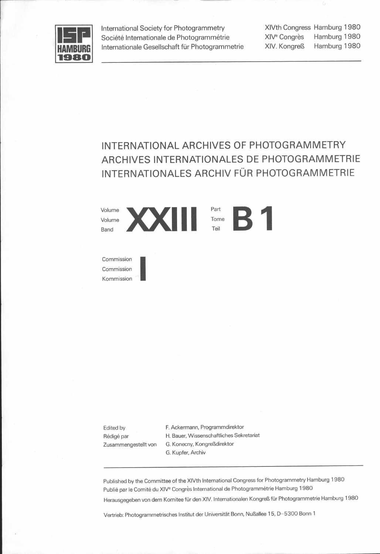

International Society for Photogrammetry Société Internationale de Photogrammétrie Internationale Gesellschaft für Photogrammetrie XlVth Congress Hamburg 1980 XlVe Congres Hamburg 1980 XIV. Kongreß Hamburg 1980

## INTERNATIONAL ARCHIVES OF PHOTOGRAMMETRY ARCHIVES INTERNATIONALES DE PHOTOGRAMMETRIE INTERNATIONALES ARCHIV FÜR PHOTOGRAMMETRIE



Edited by Rédigé par Zusammengestellt von

Commission Kommission

> F. Ackermann, Programmdirektor H. Bauer, Wissenschaftliches Sekretariat G. Konecny, Kongreßdirektor G. Kupfer, Archiv

Published by the Committee of the XIVth International Congress for Photogrammetry Hamburg 1980 Publié par le Comité du XIV<sup>e</sup> Congrès International de Photogrammétrie Hamburg 1980

Herausgegeben von dem Komitee für den XIV. Internationalen Kongreß für Photogrammetrie Hamburg 1980

Vertrieb: Photogrammetrisches Institut der Universitat Bonn, NuRallee 15, D-5300 Bonn 1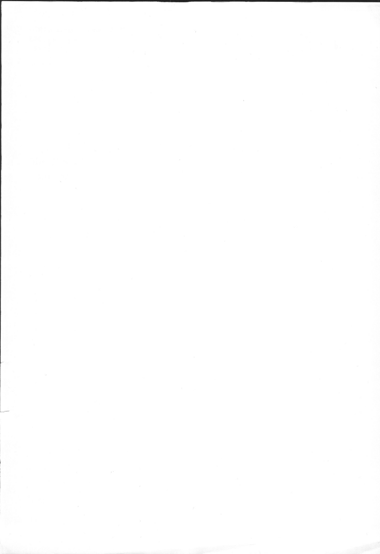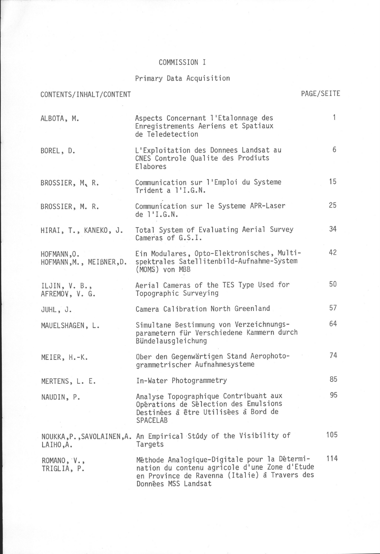## COMMISSION I

## Primary Data Acquisition

| CONTENTS/INHALT/CONTENT                 |                                                                                                                                                                       | PAGE/SEITE |
|-----------------------------------------|-----------------------------------------------------------------------------------------------------------------------------------------------------------------------|------------|
| ALBOTA, M.                              | Aspects Concernant 1'Etalonnage des<br>Enregistrements Aeriens et Spatiaux<br>de Teledetection                                                                        | 1          |
| BOREL, D.                               | L'Exploitation des Donnees Landsat au<br>CNES Controle Qualite des Prodiuts<br><b>Elabores</b>                                                                        | 6          |
| BROSSIER, M.R.                          | Communication sur l'Emploi du Systeme<br>Trident a l'I.G.N.                                                                                                           | 15         |
| BROSSIER, M. R.                         | Communication sur le Systeme APR-Laser<br>de 1'I.G.N.                                                                                                                 | 25         |
| HIRAI, T., KANEKO, J.                   | Total System of Evaluating Aerial Survey<br>Cameras of G.S.I.                                                                                                         | 34         |
| HOFMANN, 0.<br>HOFMANN, M., MEIBNER, D. | Ein Modulares, Opto-Elektronisches, Multi-<br>spektrales Satellitenbild-Aufnahme-System<br>(MOMS) von MBB                                                             | 42         |
| ILJIN, $V. B.,$<br>AFREMOV, V. G.       | Aerial Cameras of the TES Type Used for<br>Topographic Surveying                                                                                                      | 50         |
| JUHL, J.                                | Camera Calibration North Greenland                                                                                                                                    | 57         |
| MAUELSHAGEN, L.                         | Simultane Bestimmung von Verzeichnungs-<br>parametern für Verschiedene Kammern durch<br>Bündelausgleichung                                                            | 64         |
| MEIER, H.-K.                            | Über den Gegenwärtigen Stand Aerophoto-<br>grammetrischer Aufnahmesysteme                                                                                             | 74         |
| MERTENS, L. E.                          | In-Water Photogrammetry                                                                                                                                               | 85         |
| NAUDIN, P.                              | Analyse Topographique Contribuant aux<br>Opérations de Sélection des Emulsions<br>Destinées à être Utilisées à Bord de<br>SPACELAB                                    | 95         |
| LAIHO, A.                               | NOUKKA, P., SAVOLAINEN, A. An Empirical Study of the Visibility of<br>Targets                                                                                         | 105        |
| ROMANO, V.,<br>TRIGLIA, P.              | Méthode Analogique-Digitale pour la Détermi-<br>nation du contenu agricole d'une Zone d'Etude<br>en Province de Ravenna (Italie) à Travers des<br>Données MSS Landsat | 114        |